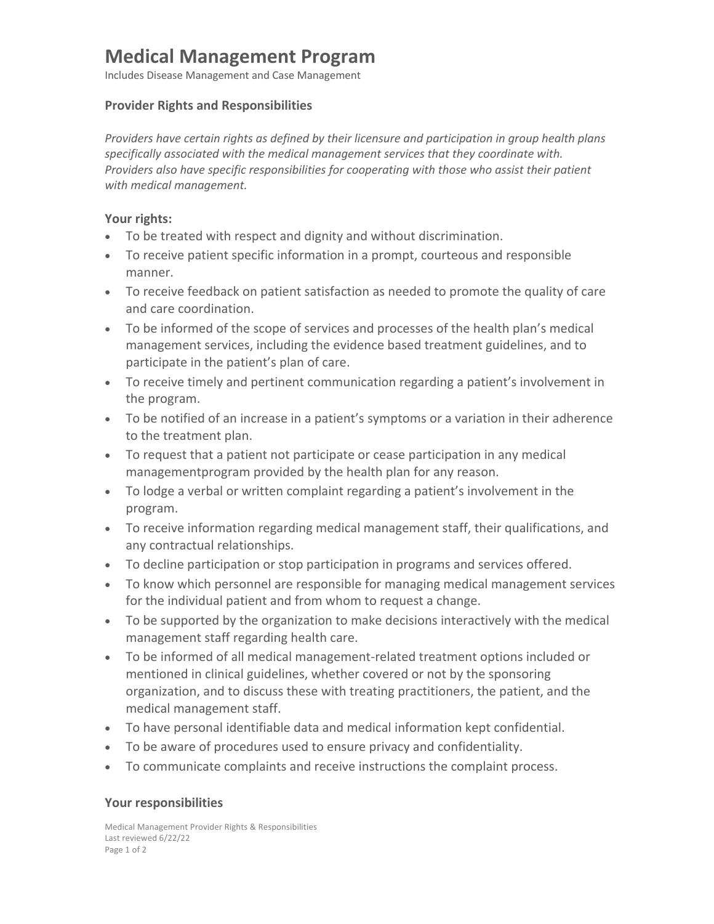# **Medical Management Program**

Includes Disease Management and Case Management

#### **Provider Rights and Responsibilities**

*Providers have certain rights as defined by their licensure and participation in group health plans specifically associated with the medical management services that they coordinate with. Providers also have specific responsibilities for cooperating with those who assist their patient with medical management.*

### **Your rights:**

- To be treated with respect and dignity and without discrimination.
- To receive patient specific information in a prompt, courteous and responsible manner.
- To receive feedback on patient satisfaction as needed to promote the quality of care and care coordination.
- To be informed of the scope of services and processes of the health plan's medical management services, including the evidence based treatment guidelines, and to participate in the patient's plan of care.
- To receive timely and pertinent communication regarding a patient's involvement in the program.
- To be notified of an increase in a patient's symptoms or a variation in their adherence to the treatment plan.
- To request that a patient not participate or cease participation in any medical managementprogram provided by the health plan for any reason.
- To lodge a verbal or written complaint regarding a patient's involvement in the program.
- To receive information regarding medical management staff, their qualifications, and any contractual relationships.
- To decline participation or stop participation in programs and services offered.
- To know which personnel are responsible for managing medical management services for the individual patient and from whom to request a change.
- To be supported by the organization to make decisions interactively with the medical management staff regarding health care.
- To be informed of all medical management-related treatment options included or mentioned in clinical guidelines, whether covered or not by the sponsoring organization, and to discuss these with treating practitioners, the patient, and the medical management staff.
- To have personal identifiable data and medical information kept confidential.
- To be aware of procedures used to ensure privacy and confidentiality.
- To communicate complaints and receive instructions the complaint process.

## **Your responsibilities**

Medical Management Provider Rights & Responsibilities Last reviewed 6/22/22 Page 1 of 2